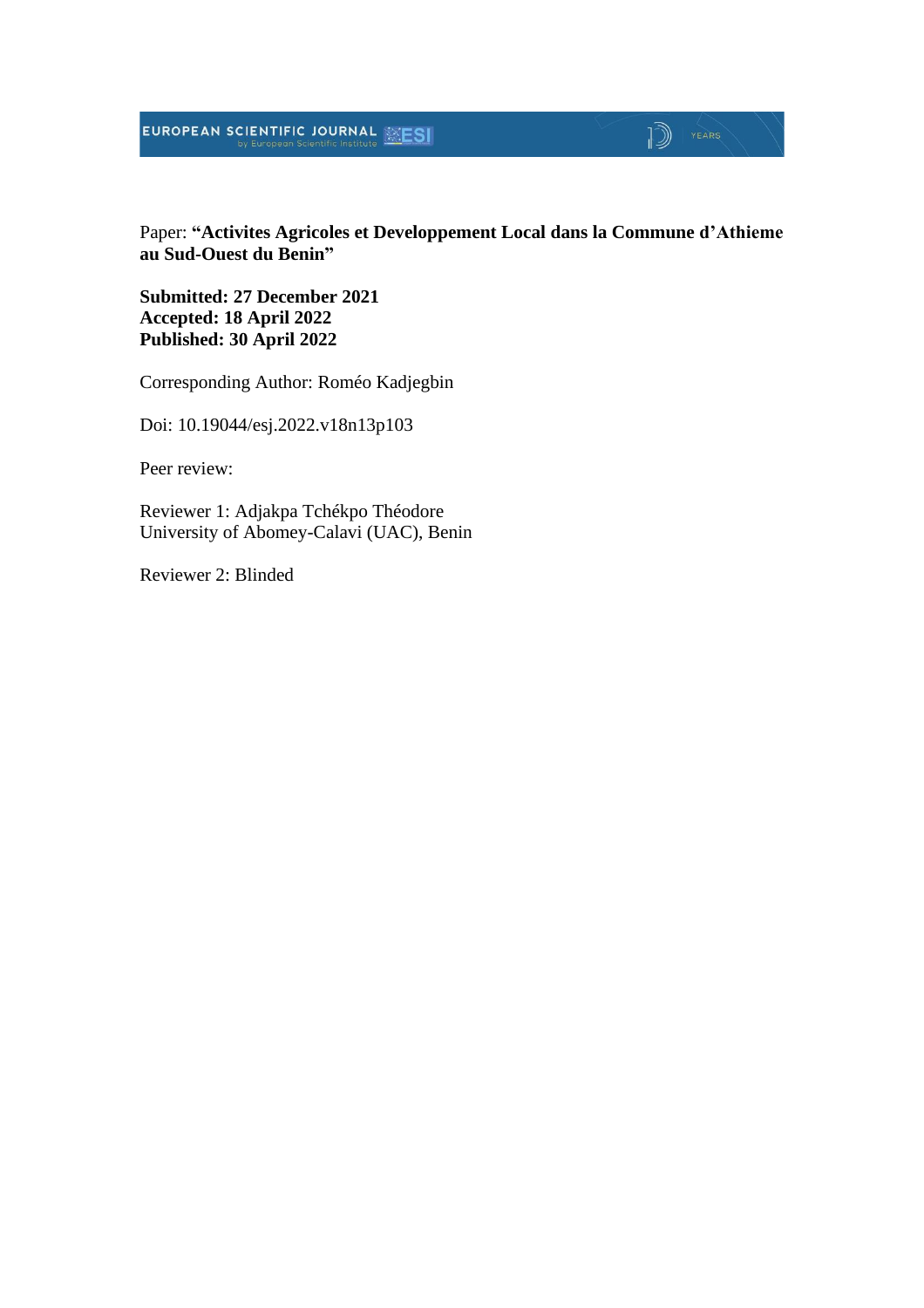## **EUROPEAN SCIENTIFIC JOURNAL EXESI**

#### Paper: **"Activites Agricoles et Developpement Local dans la Commune d'Athieme au Sud-Ouest du Benin"**

 $\mathbb{D}$   $\mathbb{P}$   $\mathbb{P}$   $\mathbb{P}$   $\mathbb{P}$   $\mathbb{P}$   $\mathbb{P}$   $\mathbb{P}$   $\mathbb{P}$   $\mathbb{P}$   $\mathbb{P}$   $\mathbb{P}$   $\mathbb{P}$   $\mathbb{P}$   $\mathbb{P}$   $\mathbb{P}$   $\mathbb{P}$   $\mathbb{P}$   $\mathbb{P}$   $\mathbb{P}$   $\mathbb{P}$   $\mathbb{P}$   $\mathbb{P}$   $\mathbb{P}$   $\mathbb{$ 

**Submitted: 27 December 2021 Accepted: 18 April 2022 Published: 30 April 2022**

Corresponding Author: Roméo Kadjegbin

Doi: 10.19044/esj.2022.v18n13p103

Peer review:

Reviewer 1: Adjakpa Tchékpo Théodore University of Abomey-Calavi (UAC), Benin

Reviewer 2: Blinded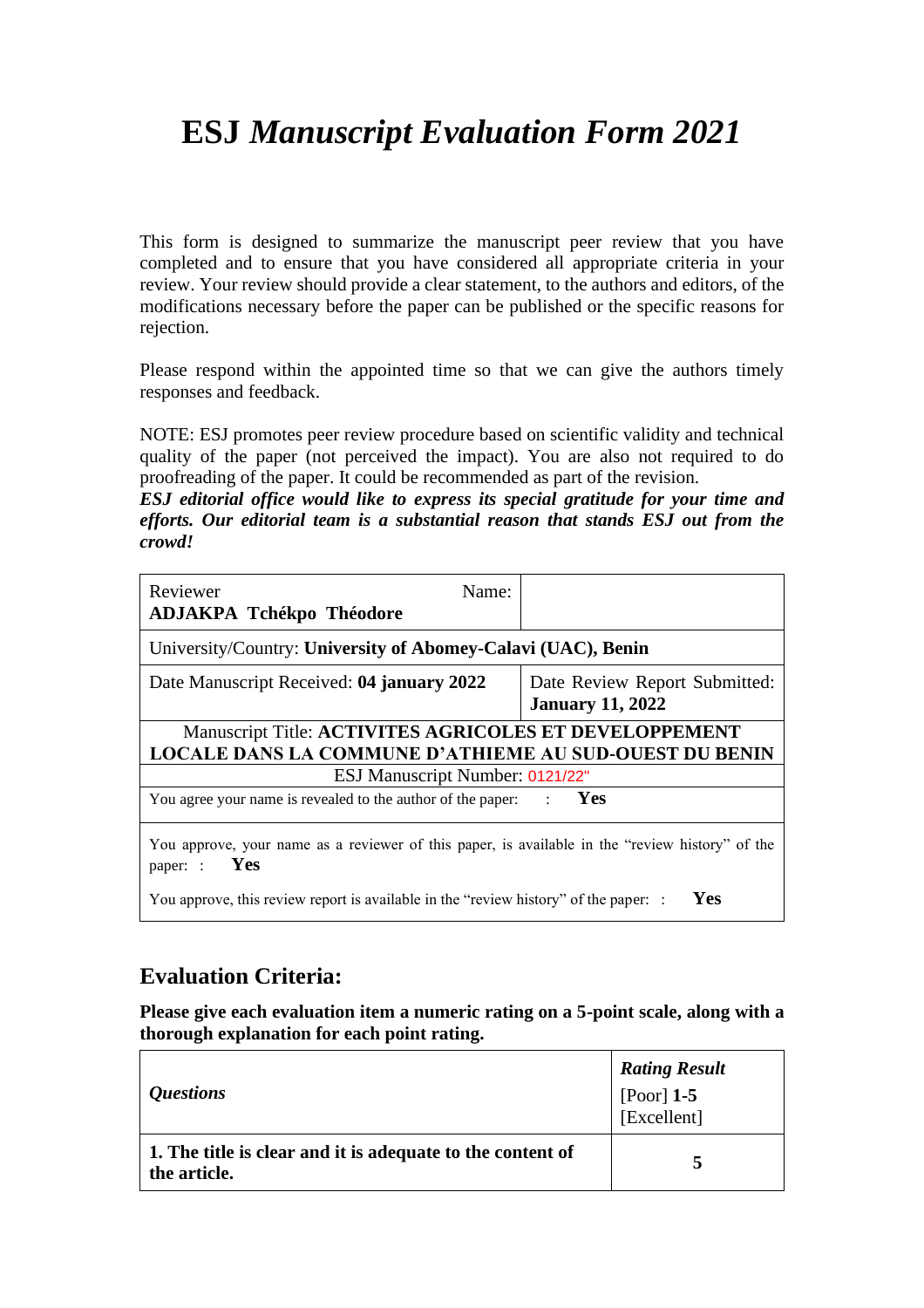# **ESJ** *Manuscript Evaluation Form 2021*

This form is designed to summarize the manuscript peer review that you have completed and to ensure that you have considered all appropriate criteria in your review. Your review should provide a clear statement, to the authors and editors, of the modifications necessary before the paper can be published or the specific reasons for rejection.

Please respond within the appointed time so that we can give the authors timely responses and feedback.

NOTE: ESJ promotes peer review procedure based on scientific validity and technical quality of the paper (not perceived the impact). You are also not required to do proofreading of the paper. It could be recommended as part of the revision.

*ESJ editorial office would like to express its special gratitude for your time and efforts. Our editorial team is a substantial reason that stands ESJ out from the crowd!*

| Reviewer<br>Name:<br><b>ADJAKPA Tchékpo Théodore</b>                                                               |                                                          |  |  |
|--------------------------------------------------------------------------------------------------------------------|----------------------------------------------------------|--|--|
| University/Country: University of Abomey-Calavi (UAC), Benin                                                       |                                                          |  |  |
| Date Manuscript Received: 04 january 2022                                                                          | Date Review Report Submitted:<br><b>January 11, 2022</b> |  |  |
| Manuscript Title: ACTIVITES AGRICOLES ET DEVELOPPEMENT                                                             |                                                          |  |  |
| <b>LOCALE DANS LA COMMUNE D'ATHIEME AU SUD-OUEST DU BENIN</b>                                                      |                                                          |  |  |
| ESJ Manuscript Number: 0121/22"                                                                                    |                                                          |  |  |
| <b>Yes</b><br>You agree your name is revealed to the author of the paper: :                                        |                                                          |  |  |
| You approve, your name as a reviewer of this paper, is available in the "review history" of the<br>Yes<br>paper: : |                                                          |  |  |
| You approve, this review report is available in the "review history" of the paper: :                               | Yes                                                      |  |  |

### **Evaluation Criteria:**

**Please give each evaluation item a numeric rating on a 5-point scale, along with a thorough explanation for each point rating.**

| <i><b>Questions</b></i>                                                    | <b>Rating Result</b><br>[Poor] $1-5$<br>[Excellent] |
|----------------------------------------------------------------------------|-----------------------------------------------------|
| 1. The title is clear and it is adequate to the content of<br>the article. |                                                     |